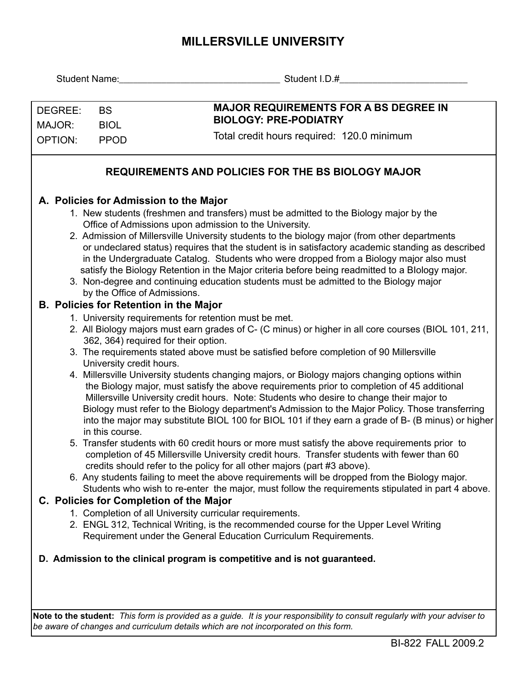## **MILLERSVILLE UNIVERSITY**

|                                                                                                                                                                                                                                                                                                                                                                                                                                                                                                                                                                                                                                                                                                                                                                                                                                                                                                                                                                                                                                                                                                                                                                                                                                                                                                                                                                                                                                                                                                                                                                                                                                                                                                                                                                                                                                                                                                                                                                                                                                                                                                                                                                                                                                                                                                                                                                                                                                                                        | Student I.D.# The Contract of the Contract of the Contract of the Contract of the Contract of the Contract of the Contract of the Contract of the Contract of the Contract of the Contract of the Contract of the Contract of |
|------------------------------------------------------------------------------------------------------------------------------------------------------------------------------------------------------------------------------------------------------------------------------------------------------------------------------------------------------------------------------------------------------------------------------------------------------------------------------------------------------------------------------------------------------------------------------------------------------------------------------------------------------------------------------------------------------------------------------------------------------------------------------------------------------------------------------------------------------------------------------------------------------------------------------------------------------------------------------------------------------------------------------------------------------------------------------------------------------------------------------------------------------------------------------------------------------------------------------------------------------------------------------------------------------------------------------------------------------------------------------------------------------------------------------------------------------------------------------------------------------------------------------------------------------------------------------------------------------------------------------------------------------------------------------------------------------------------------------------------------------------------------------------------------------------------------------------------------------------------------------------------------------------------------------------------------------------------------------------------------------------------------------------------------------------------------------------------------------------------------------------------------------------------------------------------------------------------------------------------------------------------------------------------------------------------------------------------------------------------------------------------------------------------------------------------------------------------------|-------------------------------------------------------------------------------------------------------------------------------------------------------------------------------------------------------------------------------|
| DEGREE:<br><b>BS</b>                                                                                                                                                                                                                                                                                                                                                                                                                                                                                                                                                                                                                                                                                                                                                                                                                                                                                                                                                                                                                                                                                                                                                                                                                                                                                                                                                                                                                                                                                                                                                                                                                                                                                                                                                                                                                                                                                                                                                                                                                                                                                                                                                                                                                                                                                                                                                                                                                                                   | <b>MAJOR REQUIREMENTS FOR A BS DEGREE IN</b><br><b>BIOLOGY: PRE-PODIATRY</b>                                                                                                                                                  |
| MAJOR:<br><b>BIOL</b><br><b>OPTION:</b><br><b>PPOD</b>                                                                                                                                                                                                                                                                                                                                                                                                                                                                                                                                                                                                                                                                                                                                                                                                                                                                                                                                                                                                                                                                                                                                                                                                                                                                                                                                                                                                                                                                                                                                                                                                                                                                                                                                                                                                                                                                                                                                                                                                                                                                                                                                                                                                                                                                                                                                                                                                                 | Total credit hours required: 120.0 minimum                                                                                                                                                                                    |
| <b>REQUIREMENTS AND POLICIES FOR THE BS BIOLOGY MAJOR</b>                                                                                                                                                                                                                                                                                                                                                                                                                                                                                                                                                                                                                                                                                                                                                                                                                                                                                                                                                                                                                                                                                                                                                                                                                                                                                                                                                                                                                                                                                                                                                                                                                                                                                                                                                                                                                                                                                                                                                                                                                                                                                                                                                                                                                                                                                                                                                                                                              |                                                                                                                                                                                                                               |
| A. Policies for Admission to the Major<br>1. New students (freshmen and transfers) must be admitted to the Biology major by the<br>Office of Admissions upon admission to the University.<br>2. Admission of Millersville University students to the biology major (from other departments<br>or undeclared status) requires that the student is in satisfactory academic standing as described<br>in the Undergraduate Catalog. Students who were dropped from a Biology major also must<br>satisfy the Biology Retention in the Major criteria before being readmitted to a Blology major.<br>3. Non-degree and continuing education students must be admitted to the Biology major<br>by the Office of Admissions.<br><b>B. Policies for Retention in the Major</b><br>1. University requirements for retention must be met.<br>2. All Biology majors must earn grades of C- (C minus) or higher in all core courses (BIOL 101, 211,<br>362, 364) required for their option.<br>3. The requirements stated above must be satisfied before completion of 90 Millersville<br>University credit hours.<br>4. Millersville University students changing majors, or Biology majors changing options within<br>the Biology major, must satisfy the above requirements prior to completion of 45 additional<br>Millersville University credit hours. Note: Students who desire to change their major to<br>Biology must refer to the Biology department's Admission to the Major Policy. Those transferring<br>into the major may substitute BIOL 100 for BIOL 101 if they earn a grade of B- (B minus) or higher<br>in this course.<br>5. Transfer students with 60 credit hours or more must satisfy the above requirements prior to<br>completion of 45 Millersville University credit hours. Transfer students with fewer than 60<br>credits should refer to the policy for all other majors (part #3 above).<br>6. Any students failing to meet the above requirements will be dropped from the Biology major.<br>Students who wish to re-enter the major, must follow the requirements stipulated in part 4 above.<br>C. Policies for Completion of the Major<br>1. Completion of all University curricular requirements.<br>2. ENGL 312, Technical Writing, is the recommended course for the Upper Level Writing<br>Requirement under the General Education Curriculum Requirements.<br>D. Admission to the clinical program is competitive and is not guaranteed. |                                                                                                                                                                                                                               |
|                                                                                                                                                                                                                                                                                                                                                                                                                                                                                                                                                                                                                                                                                                                                                                                                                                                                                                                                                                                                                                                                                                                                                                                                                                                                                                                                                                                                                                                                                                                                                                                                                                                                                                                                                                                                                                                                                                                                                                                                                                                                                                                                                                                                                                                                                                                                                                                                                                                                        |                                                                                                                                                                                                                               |

**Note to the student:** *This form is provided as a guide. It is your responsibility to consult regularly with your adviser to be aware of changes and curriculum details which are not incorporated on this form.*